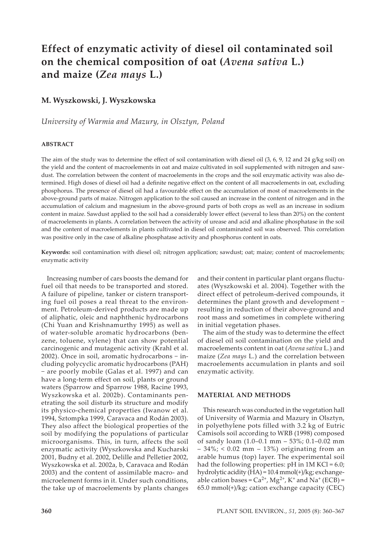# **Effect of enzymatic activity of diesel oil contaminated soil on the chemical composition of oat (***Avena sativa* **L.) and maize (***Zea mays* **L.)**

# **M. Wyszkowski, J. Wyszkowska**

*University of Warmia and Mazury, in Olsztyn, Poland*

## **ABSTRACT**

The aim of the study was to determine the effect of soil contamination with diesel oil (3, 6, 9, 12 and 24 g/kg soil) on the yield and the content of macroelements in oat and maize cultivated in soil supplemented with nitrogen and sawdust. The correlation between the content of macroelements in the crops and the soil enzymatic activity was also determined. High doses of diesel oil had a definite negative effect on the content of all macroelements in oat, excluding phosphorus. The presence of diesel oil had a favourable effect on the accumulation of most of macroelements in the above-ground parts of maize. Nitrogen application to the soil caused an increase in the content of nitrogen and in the accumulation of calcium and magnesium in the above-ground parts of both crops as well as an increase in sodium content in maize. Sawdust applied to the soil had a considerably lower effect (several to less than 20%) on the content of macroelements in plants. A correlation between the activity of urease and acid and alkaline phosphatase in the soil and the content of macroelements in plants cultivated in diesel oil contaminated soil was observed. This correlation was positive only in the case of alkaline phosphatase activity and phosphorus content in oats.

**Keywords:** soil contamination with diesel oil; nitrogen application; sawdust; oat; maize; content of macroelements; enzymatic activity

Increasing number of cars boosts the demand for fuel oil that needs to be transported and stored. A failure of pipeline, tanker or cistern transporting fuel oil poses a real threat to the environment. Petroleum-derived products are made up of aliphatic, oleic and naphthenic hydrocarbons (Chi Yuan and Krishnamurthy 1995) as well as of water-soluble aromatic hydrocarbons (benzene, toluene, xylene) that can show potential carcinogenic and mutagenic activity (Krahl et al. 2002). Once in soil, aromatic hydrocarbons − including polycyclic aromatic hydrocarbons (PAH) − are poorly mobile (Galas et al. 1997) and can have a long-term effect on soil, plants or ground waters (Sparrow and Sparrow 1988, Racine 1993, Wyszkowska et al. 2002b). Contaminants penetrating the soil disturb its structure and modify its physico-chemical properties (Iwanow et al. 1994, Sztompka 1999, Caravaca and Rodán 2003). They also affect the biological properties of the soil by modifying the populations of particular microorganisms. This, in turn, affects the soil enzymatic activity (Wyszkowska and Kucharski 2001, Budny et al. 2002, Delille and Pelletier 2002, Wyszkowska et al. 2002a, b, Caravaca and Rodán 2003) and the content of assimilable macro- and microelement forms in it. Under such conditions, the take up of macroelements by plants changes

and their content in particular plant organs fluctuates (Wyszkowski et al. 2004). Together with the direct effect of petroleum-derived compounds, it determines the plant growth and development − resulting in reduction of their above-ground and root mass and sometimes in complete withering in initial vegetation phases.

The aim of the study was to determine the effect of diesel oil soil contamination on the yield and macroelements content in oat (*Avena sativa* L.) and maize (*Zea mays* L.) and the correlation between macroelements accumulation in plants and soil enzymatic activity.

## **MATERIAL AND METHODS**

This research was conducted in the vegetation hall of University of Warmia and Mazury in Olsztyn, in polyethylene pots filled with 3.2 kg of Eutric Camisols soil according to WRB (1998) composed of sandy loam (1.0–0.1 mm – 53%; 0.1–0.02 mm  $-34\%$ ; < 0.02 mm  $-13\%$ ) originating from an arable humus (top) layer. The experimental soil had the following properties:  $pH$  in  $1M$  KCl = 6.0; hydrolytic acidity (HA) = 10.4 mmol(+)/kg; exchangeable cation bases =  $Ca^{2+}$ , Mg<sup>2+</sup>, K<sup>+</sup> and Na<sup>+</sup> (ECB) = 65.0 mmol(+)/kg; cation exchange capacity (CEC)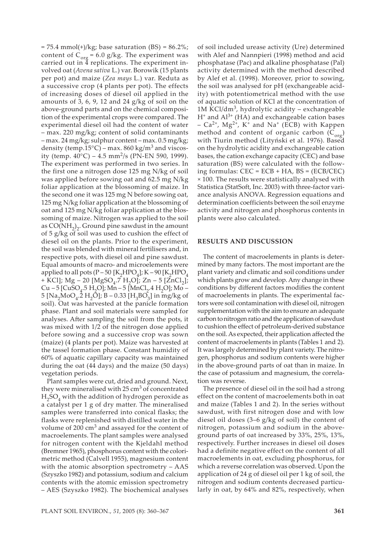$= 75.4$  mmol(+)/kg; base saturation (BS)  $= 86.2\%$ ; content of  $C_{org} = 6.0$  g/kg. The experiment was carried out in 4 replications. The experiment involved oat (*Avena sativa* L.) var. Borowik (15 plants per pot) and maize (*Zea mays* L.) var. Reduta as a successive crop (4 plants per pot). The effects of increasing doses of diesel oil applied in the amounts of 3, 6, 9, 12 and 24 g/kg of soil on the above-ground parts and on the chemical composition of the experimental crops were compared. The experimental diesel oil had the content of water – max. 220 mg/kg; content of solid contaminants – max. 24 mg/kg; sulphur content – max. 0.5 mg/kg; density (temp.15 $^{\circ}$ C) – max. 860 kg/m<sup>3</sup> and viscosity (temp.  $40^{\circ}$ C) – 4.5 mm<sup>2</sup>/s (PN-EN 590, 1999). The experiment was performed in two series. In the first one a nitrogen dose 125 mg N/kg of soil was applied before sowing oat and 62.5 mg N/kg foliar application at the blossoming of maize. In the second one it was 125 mg N before sowing oat, 125 mg N/kg foliar application at the blossoming of oat and 125 mg N/kg foliar application at the blossoming of maize. Nitrogen was applied to the soil as  $\mathrm{CO(NH}_2)_2$ . Ground pine sawdust in the amount of 5 g/kg of soil was used to cushion the effect of diesel oil on the plants. Prior to the experiment, the soil was blended with mineral fertilisers and, in respective pots, with diesel oil and pine sawdust. Equal amounts of macro- and microelements were applied to all pots (P – 50 [K<sub>2</sub>HPO<sub>4</sub>]; K – 90 [K<sub>2</sub>HPO<sub>4</sub> + KCl]; Mg – 20 [MgSO<sub>4</sub>.7 H<sub>2</sub>O]; Zn – 5 [ZnCl<sub>2</sub>];  $Cu - 5$  [CuSO<sub>4</sub>.5 H<sub>2</sub>O]; Mn – 5 [MnCl<sub>2</sub>.4 H<sub>2</sub>O]; Mo – 5 [Na<sub>2</sub>MoO<sub>4</sub>.2 H<sub>2</sub>O]; B – 0.33 [H<sub>3</sub>BO<sub>3</sub>] in mg/kg of soil). Oat was harvested at the panicle formation phase. Plant and soil materials were sampled for analyses. After sampling the soil from the pots, it was mixed with 1/2 of the nitrogen dose applied before sowing and a successive crop was sown (maize) (4 plants per pot). Maize was harvested at the tassel formation phase. Constant humidity of 60% of aquatic capillary capacity was maintained during the oat (44 days) and the maize (50 days) vegetation periods.

Plant samples were cut, dried and ground. Next, they were mineralised with  $25 \text{ cm}^3$  of concentrated  $H<sub>2</sub>SO<sub>4</sub>$  with the addition of hydrogen peroxide as a catalyst per 1 g of dry matter. The mineralised samples were transferred into conical flasks; the flasks were replenished with distilled water in the volume of  $200 \text{ cm}^3$  and assayed for the content of macroelements. The plant samples were analysed for nitrogen content with the Kjeldahl method (Bremner 1965), phosphorus content with the colorimetric method (Calvell 1955), magnesium content with the atomic absorption spectrometry – AAS (Szyszko 1982) and potassium, sodium and calcium contents with the atomic emission spectrometry – AES (Szyszko 1982). The biochemical analyses of soil included urease activity (Ure) determined with Alef and Nannpieri (1998) method and acid phosphatase (Pac) and alkaline phosphatase (Pal) activity determined with the method described by Alef et al. (1998). Moreover, prior to sowing, the soil was analysed for pH (exchangeable acidity) with potentiometrical method with the use of aquatic solution of KCl at the concentration of 1M KCl/dm<sup>3</sup>, hydrolytic acidity - exchangeable  $H^+$  and  $Al^{3+}$  (HA) and exchangeable cation bases –  $Ca^{2+}$ ,  $Mg^{2+}$ ,  $K^+$  and  $Na^+$  (ECB) with Kappen method and content of organic carbon  $(C_{org})$ with Tiurin method (Lityński et al. 1976). Based on the hydrolytic acidity and exchangeable cation bases, the cation exchange capacity (CEC) and base saturation (BS) were calculated with the following formulas: CEC = ECB + HA, BS = (ECB/CEC) × 100. The results were statistically analysed with Statistica (StatSoft, Inc. 2003) with three-factor variance analysis ANOVA. Regression equations and determination coefficients between the soil enzyme activity and nitrogen and phosphorus contents in plants were also calculated.

#### **RESULTS AND DISCUSSION**

The content of macroelements in plants is determined by many factors. The most important are the plant variety and climatic and soil conditions under which plants grow and develop. Any change in these conditions by different factors modifies the content of macroelements in plants. The experimental factors were soil contamination with diesel oil, nitrogen supplementation with the aim to ensure an adequate carbon to nitrogen ratio and the application of sawdust to cushion the effect of petroleum-derived substance on the soil. As expected, their application affected the content of macroelements in plants (Tables 1 and 2). It was largely determined by plant variety. The nitrogen, phosphorus and sodium contents were higher in the above-ground parts of oat than in maize. In the case of potassium and magnesium, the correlation was reverse.

The presence of diesel oil in the soil had a strong effect on the content of macroelements both in oat and maize (Tables 1 and 2). In the series without sawdust, with first nitrogen dose and with low diesel oil doses (3–6 g/kg of soil) the content of nitrogen, potassium and sodium in the aboveground parts of oat increased by 33%, 25%, 13%, respectively. Further increases in diesel oil doses had a definite negative effect on the content of all macroelements in oat, excluding phosphorus, for which a reverse correlation was observed. Upon the application of 24 g of diesel oil per 1 kg of soil, the nitrogen and sodium contents decreased particularly in oat, by 64% and 82%, respectively, when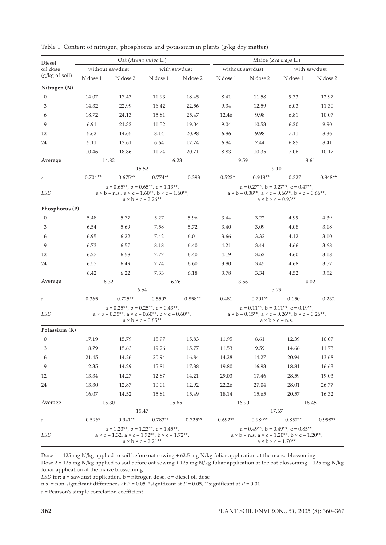| Diesel                   | Oat (Avena sativa L.)                                                                                                                                                           |                                                                                                                         |                                   |                                                                                                                                                                 | Maize (Zea mays L.)                                                                                                                                              |            |           |            |  |
|--------------------------|---------------------------------------------------------------------------------------------------------------------------------------------------------------------------------|-------------------------------------------------------------------------------------------------------------------------|-----------------------------------|-----------------------------------------------------------------------------------------------------------------------------------------------------------------|------------------------------------------------------------------------------------------------------------------------------------------------------------------|------------|-----------|------------|--|
| oil dose                 | without sawdust<br>with sawdust                                                                                                                                                 |                                                                                                                         |                                   | without sawdust<br>with sawdust                                                                                                                                 |                                                                                                                                                                  |            |           |            |  |
| $(g/kg \text{ of soil})$ | N dose 1                                                                                                                                                                        | N dose 2                                                                                                                | N dose 1                          | N dose 2                                                                                                                                                        | N dose 1                                                                                                                                                         | N dose 2   | N dose 1  | N dose 2   |  |
| Nitrogen (N)             |                                                                                                                                                                                 |                                                                                                                         |                                   |                                                                                                                                                                 |                                                                                                                                                                  |            |           |            |  |
| $\theta$                 | 14.07                                                                                                                                                                           | 17.43                                                                                                                   | 11.93                             | 18.45                                                                                                                                                           | 8.41                                                                                                                                                             | 11.58      | 9.33      | 12.97      |  |
| 3                        | 14.32                                                                                                                                                                           | 22.99                                                                                                                   | 16.42                             | 22.56                                                                                                                                                           | 9.34                                                                                                                                                             | 12.59      | 6.03      | 11.30      |  |
| 6                        | 18.72                                                                                                                                                                           | 24.13                                                                                                                   | 15.81                             | 25.47                                                                                                                                                           | 12.46                                                                                                                                                            | 9.98       | 6.81      | 10.07      |  |
| 9                        | 6.91                                                                                                                                                                            | 21.32                                                                                                                   | 11.52                             | 19.04                                                                                                                                                           | 9.04                                                                                                                                                             | 10.53      | 6.20      | 9.90       |  |
| 12                       | 5.62                                                                                                                                                                            | 14.65                                                                                                                   | 8.14                              | 20.98                                                                                                                                                           | 6.86                                                                                                                                                             | 9.98       | 7.11      | 8.36       |  |
| 24                       | 5.11                                                                                                                                                                            | 12.61                                                                                                                   | 6.64                              | 17.74                                                                                                                                                           | 6.84                                                                                                                                                             | 7.44       | 6.85      | 8.41       |  |
|                          | 10.46                                                                                                                                                                           | 18.86                                                                                                                   | 11.74                             | 20.71                                                                                                                                                           | 8.83                                                                                                                                                             | 10.35      | 7.06      | 10.17      |  |
| Average                  | 14.82<br>16.23                                                                                                                                                                  |                                                                                                                         |                                   | 9.59<br>8.61                                                                                                                                                    |                                                                                                                                                                  |            |           |            |  |
|                          |                                                                                                                                                                                 |                                                                                                                         | 15.52                             |                                                                                                                                                                 |                                                                                                                                                                  |            | 9.10      |            |  |
| $\,r$                    | $-0.704**$                                                                                                                                                                      | $-0.675**$                                                                                                              | $-0.774**$                        | $-0.393$                                                                                                                                                        | $-0.522*$                                                                                                                                                        | $-0.918**$ | $-0.327$  | $-0.848**$ |  |
|                          | $a = 0.65**$ , $b = 0.65**$ , $c = 1.13**$ ,                                                                                                                                    |                                                                                                                         |                                   |                                                                                                                                                                 | $a = 0.27**$ , $b = 0.27**$ , $c = 0.47**$ ,                                                                                                                     |            |           |            |  |
|                          | <b>LSD</b><br>$a \times b = n.s., a \times c = 1.60**, b \times c = 1.60**,$<br>$a \times b \times c = 2.26**$                                                                  |                                                                                                                         |                                   |                                                                                                                                                                 | $a \times b = 0.38$ **, $a \times c = 0.66$ **, $b \times c = 0.66$ **,<br>$a \times b \times c = 0.93**$                                                        |            |           |            |  |
| Phosphorus (P)           |                                                                                                                                                                                 |                                                                                                                         |                                   |                                                                                                                                                                 |                                                                                                                                                                  |            |           |            |  |
| $\mathbf{0}$             | 5.48                                                                                                                                                                            | 5.77                                                                                                                    | 5.27                              | 5.96                                                                                                                                                            | 3.44                                                                                                                                                             | 3.22       | 4.99      | 4.39       |  |
| 3                        | 6.54                                                                                                                                                                            | 5.69                                                                                                                    | 7.58                              | 5.72                                                                                                                                                            | 3.40                                                                                                                                                             | 3.09       | 4.08      | 3.18       |  |
| 6                        | 6.95                                                                                                                                                                            | 6.22                                                                                                                    | 7.42                              | 6.01                                                                                                                                                            | 3.66                                                                                                                                                             | 3.32       | 4.12      | 3.10       |  |
| 9                        | 6.73                                                                                                                                                                            | 6.57                                                                                                                    | 8.18                              | 6.40                                                                                                                                                            | 4.21                                                                                                                                                             | 3.44       | 4.66      | 3.68       |  |
| 12                       | 6.27                                                                                                                                                                            | 6.58                                                                                                                    | 7.77                              | 6.40                                                                                                                                                            | 4.19                                                                                                                                                             | 3.52       | 4.60      | 3.18       |  |
| 24                       | 6.57                                                                                                                                                                            | 6.49                                                                                                                    | 7.74                              | 6.60                                                                                                                                                            | 3.80                                                                                                                                                             | 3.45       | 4.68      | 3.57       |  |
|                          | 6.42                                                                                                                                                                            | 6.22                                                                                                                    | 7.33                              | 6.18                                                                                                                                                            | 3.78                                                                                                                                                             | 3.34       | 4.52      | 3.52       |  |
| Average                  |                                                                                                                                                                                 | 6.32                                                                                                                    |                                   | 6.76                                                                                                                                                            |                                                                                                                                                                  | 3.56       |           | 4.02       |  |
|                          |                                                                                                                                                                                 |                                                                                                                         | 6.54                              |                                                                                                                                                                 |                                                                                                                                                                  |            | 3.79      |            |  |
| r                        | 0.365                                                                                                                                                                           | $0.725**$                                                                                                               | $0.550*$                          | $0.858**$                                                                                                                                                       | 0.481                                                                                                                                                            | $0.701**$  | 0.150     | $-0.232$   |  |
| <b>LSD</b>               |                                                                                                                                                                                 | $a = 0.25$ **, $b = 0.25$ **, $c = 0.43$ **,<br>$a \times b = 0.35**$ , $a \times c = 0.60**$ , $b \times c = 0.60**$ , | $a \times b \times c = 0.85^{**}$ |                                                                                                                                                                 | $a = 0.11^{**}$ , $b = 0.11^{**}$ , $c = 0.19^{**}$ ,<br>$a \times b = 0.15$ **, $a \times c = 0.26$ **, $b \times c = 0.26$ **,<br>$a \times b \times c = n.s.$ |            |           |            |  |
| Potassium (K)            |                                                                                                                                                                                 |                                                                                                                         |                                   |                                                                                                                                                                 |                                                                                                                                                                  |            |           |            |  |
| $\boldsymbol{0}$         | 17.19                                                                                                                                                                           | 15.79                                                                                                                   | 15.97                             | 15.83                                                                                                                                                           | 11.95                                                                                                                                                            | 8.61       | 12.39     | 10.07      |  |
| 3                        | 18.79                                                                                                                                                                           | 15.63                                                                                                                   | 19.26                             | 15.77                                                                                                                                                           | 11.53                                                                                                                                                            | 9.59       | 14.66     | 11.73      |  |
| 6                        | 21.45                                                                                                                                                                           | 14.26                                                                                                                   | 20.94                             | 16.84                                                                                                                                                           | 14.28                                                                                                                                                            | 14.27      | 20.94     | 13.68      |  |
| 9                        | 12.35                                                                                                                                                                           | 14.29                                                                                                                   | 15.81                             | 17.38                                                                                                                                                           | 19.80                                                                                                                                                            | 16.93      | 18.81     | 16.63      |  |
| 12                       | 13.34                                                                                                                                                                           | 14.27                                                                                                                   | 12.87                             | 14.21                                                                                                                                                           | 29.03                                                                                                                                                            | 17.46      | 28.59     | 19.03      |  |
| 24                       | 13.30                                                                                                                                                                           | 12.87                                                                                                                   | 10.01                             | 12.92                                                                                                                                                           | 22.26                                                                                                                                                            | 27.04      | 28.01     | 26.77      |  |
|                          | 16.07                                                                                                                                                                           | 14.52                                                                                                                   | 15.81                             | 15.49                                                                                                                                                           | 18.14                                                                                                                                                            | 15.65      | 20.57     | 16.32      |  |
| Average                  |                                                                                                                                                                                 | 15.30                                                                                                                   |                                   | 15.65                                                                                                                                                           |                                                                                                                                                                  | 16.90      |           | 18.45      |  |
|                          |                                                                                                                                                                                 |                                                                                                                         | 15.47                             |                                                                                                                                                                 |                                                                                                                                                                  | 17.67      |           |            |  |
| r                        | $-0.596*$                                                                                                                                                                       | $-0.941**$                                                                                                              | $-0.783**$                        | $-0.725**$                                                                                                                                                      | $0.692**$                                                                                                                                                        | $0.989**$  | $0.857**$ | $0.998**$  |  |
| LSD                      | $a = 1.23$ **, $b = 1.23$ **, $c = 1.45$ **,<br>$a \times b = 1.32$ , $a \times c = 1.72$ <sup>**</sup> , $b \times c = 1.72$ <sup>**</sup> ,<br>$a \times b \times c = 2.21**$ |                                                                                                                         |                                   | $a = 0.49**$ , $b = 0.49**$ , $c = 0.85**$ ,<br>$a \times b = n.s$ , $a \times c = 1.20^{**}$ , $b \times c = 1.20^{**}$ ,<br>$a \times b \times c = 1.70^{**}$ |                                                                                                                                                                  |            |           |            |  |

| Table 1. Content of nitrogen, phosphorus and potassium in plants (g/kg dry matter) |  |  |  |  |  |
|------------------------------------------------------------------------------------|--|--|--|--|--|
|------------------------------------------------------------------------------------|--|--|--|--|--|

Dose 1 = 125 mg N/kg applied to soil before oat sowing + 62.5 mg N/kg foliar application at the maize blossoming Dose 2 = 125 mg N/kg applied to soil before oat sowing + 125 mg N/kg foliar application at the oat blossoming + 125 mg N/kg foliar application at the maize blossoming

*LSD* for: a = sawdust application, b = nitrogen dose, c = diesel oil dose

n.s. = non-significant differences at *P* = 0.05, \*significant at *P* = 0.05, \*\*significant at *P* = 0.01

*r* = Pearson's simple correlation coefficient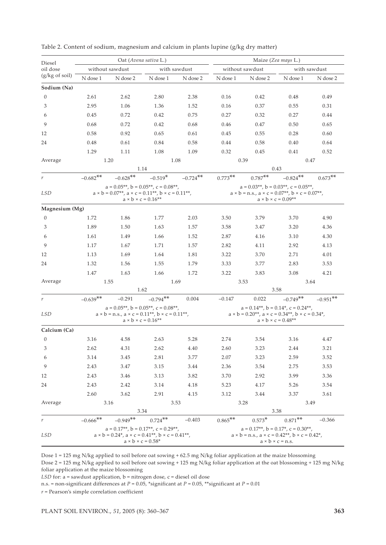| Diesel           | Oat (Avena sativa L.)                                                                                                                                                                                            |                                                                                                                |                                   |                                                                                                                                             | Maize (Zea mays L.)                                                                                                                                               |           |              |             |  |
|------------------|------------------------------------------------------------------------------------------------------------------------------------------------------------------------------------------------------------------|----------------------------------------------------------------------------------------------------------------|-----------------------------------|---------------------------------------------------------------------------------------------------------------------------------------------|-------------------------------------------------------------------------------------------------------------------------------------------------------------------|-----------|--------------|-------------|--|
| oil dose         |                                                                                                                                                                                                                  | without sawdust                                                                                                |                                   | with sawdust<br>without sawdust                                                                                                             |                                                                                                                                                                   |           | with sawdust |             |  |
| (g/kg of soil)   | N dose 1                                                                                                                                                                                                         | N dose 2                                                                                                       | N dose 1                          | N dose 2                                                                                                                                    | N dose 1                                                                                                                                                          | N dose 2  | N dose 1     | N dose 2    |  |
| Sodium (Na)      |                                                                                                                                                                                                                  |                                                                                                                |                                   |                                                                                                                                             |                                                                                                                                                                   |           |              |             |  |
| $\mathbf{0}$     | 2.61                                                                                                                                                                                                             | 2.62                                                                                                           | 2.80                              | 2.38                                                                                                                                        | 0.16                                                                                                                                                              | 0.42      | 0.48         | 0.49        |  |
| 3                | 2.95                                                                                                                                                                                                             | 1.06                                                                                                           | 1.36                              | 1.52                                                                                                                                        | 0.16                                                                                                                                                              | 0.37      | 0.55         | 0.31        |  |
| 6                | 0.45                                                                                                                                                                                                             | 0.72                                                                                                           | 0.42                              | 0.75                                                                                                                                        | 0.27                                                                                                                                                              | 0.32      | 0.27         | 0.44        |  |
| 9                | 0.68                                                                                                                                                                                                             | 0.72                                                                                                           | 0.42                              | 0.68                                                                                                                                        | 0.46                                                                                                                                                              | 0.47      | 0.50         | 0.65        |  |
| 12               | 0.58                                                                                                                                                                                                             | 0.92                                                                                                           | 0.65                              | 0.61                                                                                                                                        | 0.45                                                                                                                                                              | 0.55      | 0.28         | 0.60        |  |
| 24               | 0.48                                                                                                                                                                                                             | 0.61                                                                                                           | 0.84                              | 0.58                                                                                                                                        | 0.44                                                                                                                                                              | 0.58      | 0.40         | 0.64        |  |
|                  | 1.29                                                                                                                                                                                                             | 1.11                                                                                                           | 1.08                              | 1.09                                                                                                                                        | 0.32                                                                                                                                                              | 0.45      | 0.41         | 0.52        |  |
| Average          |                                                                                                                                                                                                                  | 1.20<br>1.08                                                                                                   |                                   |                                                                                                                                             | 0.39<br>0.47                                                                                                                                                      |           |              |             |  |
|                  |                                                                                                                                                                                                                  |                                                                                                                | 1.14                              |                                                                                                                                             |                                                                                                                                                                   |           | 0.43         |             |  |
| r                | $-0.682**$                                                                                                                                                                                                       | $-0.628$ **                                                                                                    | $-0.519*$                         | $-0.724$ **                                                                                                                                 | $0.773**$                                                                                                                                                         | $0.787**$ | $-0.824$ **  | $0.673**$   |  |
|                  | $a = 0.05**$ , $b = 0.05**$ , $c = 0.08**$ ,                                                                                                                                                                     |                                                                                                                |                                   |                                                                                                                                             | $a = 0.03**$ , $b = 0.03**$ , $c = 0.05**$ ,                                                                                                                      |           |              |             |  |
| <b>LSD</b>       | $a \times b = 0.07**$ , $a \times c = 0.11**$ , $b \times c = 0.11**$ ,<br>$a \times b = n.s., a \times c = 0.07**, b \times c = 0.07**.$<br>$a \times b \times c = 0.16^{**}$<br>$a \times b \times c = 0.09**$ |                                                                                                                |                                   |                                                                                                                                             |                                                                                                                                                                   |           |              |             |  |
| Magnesium (Mg)   |                                                                                                                                                                                                                  |                                                                                                                |                                   |                                                                                                                                             |                                                                                                                                                                   |           |              |             |  |
| $\mathbf{0}$     | 1.72                                                                                                                                                                                                             | 1.86                                                                                                           | 1.77                              | 2.03                                                                                                                                        | 3.50                                                                                                                                                              | 3.79      | 3.70         | 4.90        |  |
| 3                | 1.89                                                                                                                                                                                                             | 1.50                                                                                                           | 1.63                              | 1.57                                                                                                                                        | 3.58                                                                                                                                                              | 3.47      | 3.20         | 4.36        |  |
| 6                | 1.61                                                                                                                                                                                                             | 1.49                                                                                                           | 1.66                              | 1.52                                                                                                                                        | 2.87                                                                                                                                                              | 4.16      | 3.10         | 4.30        |  |
| 9                | 1.17                                                                                                                                                                                                             | 1.67                                                                                                           | 1.71                              | 1.57                                                                                                                                        | 2.82                                                                                                                                                              | 4.11      | 2.92         | 4.13        |  |
| 12               | 1.13                                                                                                                                                                                                             | 1.69                                                                                                           | 1.64                              | 1.81                                                                                                                                        | 3.22                                                                                                                                                              | 3.70      | 2.71         | 4.01        |  |
| 24               | 1.32                                                                                                                                                                                                             | 1.56                                                                                                           | 1.55                              | 1.79                                                                                                                                        | 3.33                                                                                                                                                              | 3.77      | 2.83         | 3.53        |  |
|                  | 1.47                                                                                                                                                                                                             | 1.63                                                                                                           | 1.66                              | 1.72                                                                                                                                        | 3.22                                                                                                                                                              | 3.83      | 3.08         | 4.21        |  |
| Average          |                                                                                                                                                                                                                  | 1.55                                                                                                           |                                   | 1.69                                                                                                                                        |                                                                                                                                                                   | 3.53      |              | 3.64        |  |
|                  |                                                                                                                                                                                                                  |                                                                                                                | 1.62                              |                                                                                                                                             |                                                                                                                                                                   |           | 3.58         |             |  |
| r                | $-0.639**$                                                                                                                                                                                                       | $-0.291$                                                                                                       | $-0.794**$                        | 0.004                                                                                                                                       | $-0.147$                                                                                                                                                          | 0.022     | $-0.749**$   | $-0.951$ ** |  |
| LSD              |                                                                                                                                                                                                                  | $a = 0.05**$ , $b = 0.05**$ , $c = 0.08**$ ,<br>$a \times b = n.s., a \times c = 0.11**, b \times c = 0.11**,$ | $a \times b \times c = 0.16^{**}$ |                                                                                                                                             | $a = 0.14**$ , $b = 0.14*$ , $c = 0.24**$ ,<br>$a \times b = 0.20^{**}$ , $a \times c = 0.34^{**}$ , $b \times c = 0.34^*$ ,<br>$a \times b \times c = 0.48^{**}$ |           |              |             |  |
| Calcium (Ca)     |                                                                                                                                                                                                                  |                                                                                                                |                                   |                                                                                                                                             |                                                                                                                                                                   |           |              |             |  |
| $\boldsymbol{0}$ | 3.16                                                                                                                                                                                                             | 4.58                                                                                                           | 2.63                              | 5.28                                                                                                                                        | 2.74                                                                                                                                                              | 3.54      | 3.16         | 4.47        |  |
| 3                | 2.62                                                                                                                                                                                                             | 4.31                                                                                                           | 2.62                              | 4.40                                                                                                                                        | 2.60                                                                                                                                                              | 3.23      | 2.44         | 3.21        |  |
| 6                | 3.14                                                                                                                                                                                                             | 3.45                                                                                                           | 2.81                              | 3.77                                                                                                                                        | 2.07                                                                                                                                                              | 3.23      | 2.59         | 3.52        |  |
| 9                | 2.43                                                                                                                                                                                                             | $3.47\,$                                                                                                       | 3.15                              | 3.44                                                                                                                                        | 2.36                                                                                                                                                              | 3.54      | 2.75         | 3.53        |  |
| 12               | 2.43                                                                                                                                                                                                             | 3.46                                                                                                           | 3.13                              | 3.82                                                                                                                                        | 3.70                                                                                                                                                              | 2.92      | 3.99         | 3.36        |  |
| 24               | 2.43                                                                                                                                                                                                             | 2.42                                                                                                           | 3.14                              | 4.18                                                                                                                                        | 5.23                                                                                                                                                              | 4.17      | 5.26         | 3.54        |  |
|                  | 2.60                                                                                                                                                                                                             | 3.62                                                                                                           | 2.91                              | 4.15                                                                                                                                        | 3.12                                                                                                                                                              | 3.44      | 3.37         | 3.61        |  |
| Average          |                                                                                                                                                                                                                  | 3.16                                                                                                           |                                   | 3.53                                                                                                                                        |                                                                                                                                                                   | 3.28      |              | 3.49        |  |
|                  |                                                                                                                                                                                                                  |                                                                                                                | 3.34                              |                                                                                                                                             |                                                                                                                                                                   | 3.38      |              |             |  |
| r                | $-0.666$ **                                                                                                                                                                                                      | $-0.949**$                                                                                                     | $0.724$ **                        | $-0.403$                                                                                                                                    | $0.865***$                                                                                                                                                        | $0.573*$  | $0.871$ **   | $-0.366$    |  |
| <b>LSD</b>       | $a = 0.17**$ , $b = 0.17**$ , $c = 0.29**$ ,<br>$a \times b = 0.24^*$ , $a \times c = 0.41^{**}$ , $b \times c = 0.41^{**}$ ,<br>$a \times b \times c = 0.58$ *                                                  |                                                                                                                |                                   | $a = 0.17**$ , $b = 0.17*$ , $c = 0.30**$ ,<br>$a \times b = n.s., a \times c = 0.42**, b \times c = 0.42*$<br>$a \times b \times c = n.s.$ |                                                                                                                                                                   |           |              |             |  |

| Table 2. Content of sodium, magnesium and calcium in plants lupine (g/kg dry matter) |  |  |  |  |  |
|--------------------------------------------------------------------------------------|--|--|--|--|--|
|--------------------------------------------------------------------------------------|--|--|--|--|--|

Dose 1 = 125 mg N/kg applied to soil before oat sowing + 62.5 mg N/kg foliar application at the maize blossoming Dose 2 = 125 mg N/kg applied to soil before oat sowing + 125 mg N/kg foliar application at the oat blossoming + 125 mg N/kg foliar application at the maize blossoming

*LSD* for: a = sawdust application, b = nitrogen dose, c = diesel oil dose

n.s. = non-significant differences at *P* = 0.05, \*significant at *P* = 0.05, \*\*significant at *P* = 0.01

*r* = Pearson's simple correlation coefficient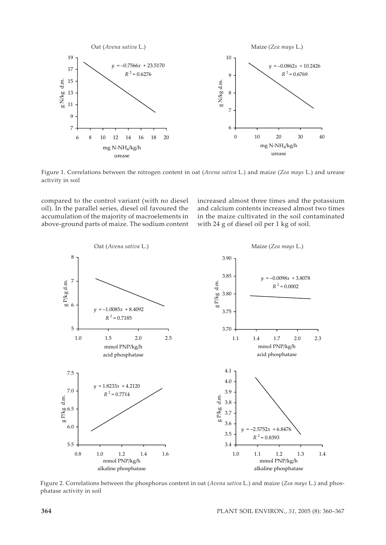

Figure 1. Correlations between the nitrogen content in oat (*Avena sativa* L.) and maize (*Zea mays* L.) and urease activity in soil

compared to the control variant (with no diesel oil). In the parallel series, diesel oil favoured the accumulation of the majority of macroelements in above-ground parts of maize. The sodium content increased almost three times and the potassium and calcium contents increased almost two times in the maize cultivated in the soil contaminated with 24 g of diesel oil per 1 kg of soil.



Figure 2. Correlations between the phosphorus content in oat (*Avena sativa* L.) and maize (*Zea mays* L.) and phosphatase activity in soil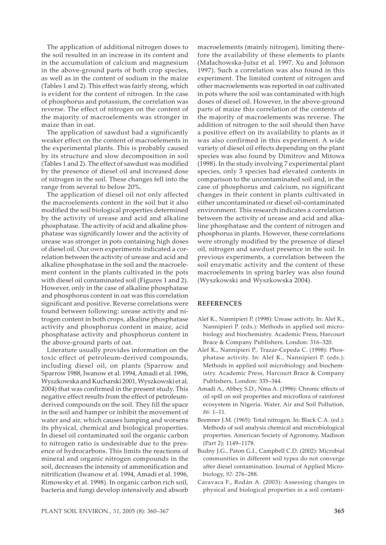The application of additional nitrogen doses to the soil resulted in an increase in its content and in the accumulation of calcium and magnesium in the above-ground parts of both crop species, as well as in the content of sodium in the maize (Tables 1 and 2). This effect was fairly strong, which is evident for the content of nitrogen. In the case of phosphorus and potassium, the correlation was reverse. The effect of nitrogen on the content of the majority of macroelements was stronger in maize than in oat.

The application of sawdust had a significantly weaker effect on the content of macroelements in the experimental plants. This is probably caused by its structure and slow decomposition in soil (Tables 1 and 2). The effect of sawdust was modified by the presence of diesel oil and increased dose of nitrogen in the soil. These changes fell into the range from several to below 20%.

The application of diesel oil not only affected the macroelements content in the soil but it also modified the soil biological properties determined by the activity of urease and acid and alkaline phosphatase. The activity of acid and alkaline phosphatase was significantly lower and the activity of urease was stronger in pots containing high doses of diesel oil. Our own experiments indicated a correlation between the activity of urease and acid and alkaline phosphatase in the soil and the macroelement content in the plants cultivated in the pots with diesel oil contaminated soil (Figures 1 and 2). However, only in the case of alkaline phosphatase and phosphorus content in oat was this correlation significant and positive. Reverse correlations were found between following: urease activity and nitrogen content in both crops, alkaline phosphatase activity and phosphorus content in maize, acid phosphatase activity and phosphorus content in the above-ground parts of oat.

Literature usually provides information on the toxic effect of petroleum-derived compounds, including diesel oil, on plants (Sparrow and Sparrow 1988, Iwanow et al. 1994, Amadi et al. 1996, Wyszkowska and Kucharski 2001, Wyszkowski et al. 2004) that was confirmed in the present study. This negative effect results from the effect of petroleumderived compounds on the soil. They fill the space in the soil and hamper or inhibit the movement of water and air, which causes lumping and worsens its physical, chemical and biological properties. In diesel oil contaminated soil the organic carbon to nitrogen ratio is undesirable due to the presence of hydrocarbons. This limits the reactions of mineral and organic nitrogen compounds in the soil, decreases the intensity of ammonification and nitrification (Iwanow et al. 1994, Amadi et al. 1996, Rimowsky et al. 1998). In organic carbon rich soil, bacteria and fungi develop intensively and absorb macroelements (mainly nitrogen), limiting therefore the availability of these elements to plants (Małachowska-Jutsz et al. 1997, Xu and Johnson 1997). Such a correlation was also found in this experiment. The limited content of nitrogen and other macroelements was reported in oat cultivated in pots where the soil was contaminated with high doses of diesel oil. However, in the above-ground parts of maize this correlation of the contents of the majority of macroelements was reverse. The addition of nitrogen to the soil should then have a positive effect on its availability to plants as it was also confirmed in this experiment. A wide variety of diesel oil effects depending on the plant species was also found by Dimitrov and Mitowa (1998). In the study involving 7 experimental plant species, only 3 species had elevated contents in comparison to the uncontaminated soil and, in the case of phosphorus and calcium, no significant changes in their content in plants cultivated in either uncontaminated or diesel oil-contaminated environment. This research indicates a correlation between the activity of urease and acid and alkaline phosphatase and the content of nitrogen and phosphorus in plants. However, these correlations were strongly modified by the presence of diesel oil, nitrogen and sawdust presence in the soil. In previous experiments, a correlation between the soil enzymatic activity and the content of these macroelements in spring barley was also found (Wyszkowski and Wyszkowska 2004).

# **REFERENCES**

- Alef K., Nannipieri P. (1998): Urease activity. In: Alef K., Nannipieri P. (eds.): Methods in applied soil microbiology and biochemistry. Academic Press, Harcourt Brace & Company Publishers, London: 316–320.
- Alef K., Nannipieri P., Trazar-Cepeda C. (1998): Phosphatase activity. In: Alef K., Nannipieri P. (eds.): Methods in applied soil microbiology and biochemistry. Academic Press, Harcourt Brace & Company Publishers, London: 335–344.
- Amadi A., Abbey S.D., Nma A. (1996): Chronic effects of oil spill on soil properties and microflora of rainforest ecosystem in Nigeria. Water, Air and Soil Pollution, *86*: 1–11.
- Bremner J.M. (1965): Total nitrogen. In: Black C.A. (ed.): Methods of soil analysis chemical and microbiological properties. American Society of Agronomy, Madison (Part 2): 1149–1178.
- Budny J.G., Paton G.I., Campbell C.D. (2002): Microbial communities in different soil types do not converge after diesel contamination. Journal of Applied Microbiology, *92*: 276–288.
- Caravaca F., Rodán A. (2003): Assessing changes in physical and biological properties in a soil contami-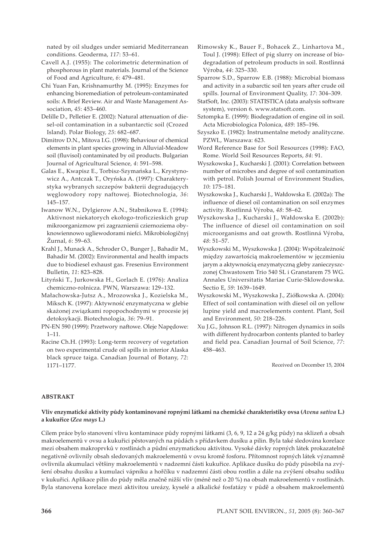nated by oil sludges under semiarid Mediterranean conditions. Geoderma, *117*: 53–61.

- Cavell A.J. (1955): The colorimetric determination of phosphorous in plant materials. Journal of the Science of Food and Agriculture, *6*: 479–481.
- Chi Yuan Fan, Krishnamurthy M. (1995): Enzymes for enhancing bioremediation of petroleum-contaminated soils: A Brief Review. Air and Waste Management Association, *45*: 453–460.
- Delille D., Pelletier E. (2002): Natural attenuation of diesel-oil contamination in a subantarctic soil (Crozed Island). Polar Biology, *25*: 682–687.
- Dimitrov D.N., Mitova I.G. (1998): Behaviour of chemical elements in plant species growing in Alluvial-Meadow soil (fluvisol) contaminated by oil products. Bulgarian Journal of Agricultural Science, *4*: 591–598.
- Galas E., Kwapisz E., Torbisz-Szymańska L., Krystynowicz A., Antczak T., Oryńska A. (1997): Charakterystyka wybranych szczepów bakterii degradujących węglowodory ropy naftowej. Biotechnologia, *36*: 145–157.
- Iwanow W.N., Dylgierow A.N., Stabnikowa E. (1994): Aktivnost niekatorych ekołogo-troficzieskich grup mikroorganizmow pri zagraznienii cziernoziema obyknowiennowo ugliewodorami niefci. Mikrobiologičnyj Žurnal, *6*: 59–63.
- Krahl J., Munack A., Schroder O., Bunger J., Bahadir M., Bahadir M. (2002): Environmental and health impacts due to biodiesel exhaust gas. Fresenius Environment Bulletin, *11*: 823–828.
- Lityński T., Jurkowska H., Gorlach E. (1976): Analiza chemiczno-rolnicza. PWN, Warszawa: 129–132.
- Małachowska-Jutsz A., Mrozowska J., Kozielska M., Miksch K. (1997): Aktywność enzymatyczna w glebie skażonej związkami ropopochodnymi w procesie jej detoksykacji. Biotechnologia, *36*: 79–91.
- PN-EN 590 (1999): Przetwory naftowe. Oleje Napędowe: 1–11.
- Racine Ch.H. (1993): Long-term recovery of vegetation on two experimental crude oil spills in interior Alaska black spruce taiga. Canadian Journal of Botany, *72*: 1171–1177.
- Rimowsky K., Bauer F., Bohacek Z., Linhartova M., Toul J. (1998): Effect of pig slurry on increase of biodegradation of petroleum products in soil. Rostlinná Výroba, *44*: 325–330.
- Sparrow S.D., Sparrow E.B. (1988): Microbial biomass and activity in a subarctic soil ten years after crude oil spills. Journal of Environment Quality, *17*: 304–309.
- StatSoft, Inc. (2003): STATISTICA (data analysis software system), version 6. www.statsoft.com.
- Sztompka E. (1999): Biodegradation of engine oil in soil. Acta Microbiologica Polonica, *489*: 185–196.
- Szyszko E. (1982): Instrumentalne metody analityczne. PZWL, Warszawa: 623.
- Word Reference Base for Soil Resources (1998): FAO, Rome. World Soil Resources Reports, *84*: 91.
- Wyszkowska J., Kucharski J. (2001): Correlation between number of microbes and degree of soil contamination with petrol. Polish Journal of Environment Studies, *10*: 175–181.
- Wyszkowska J., Kucharski J., Wałdowska E. (2002a): The influence of diesel oil contamination on soil enzymes activity. Rostlinná Výroba, *48*: 58–62.
- Wyszkowska J., Kucharski J., Wałdowska E. (2002b): The influence of diesel oil contamination on soil microorganisms and oat growth. Rostlinná Výroba, *48*: 51–57.
- Wyszkowski M., Wyszkowska J. (2004): Współzależność między zawartością makroelementów w jęczmieniu jarym a aktywnością enzymatyczną gleby zanieczyszczonej Chwastoxem Trio 540 SL i Granstarem 75 WG. Annales Universitatis Mariae Curie-Sklowdowska. Sectio E, *59*: 1639–1649.
- Wyszkowski M., Wyszkowska J., Ziółkowska A. (2004): Effect of soil contamination with diesel oil on yellow lupine yield and macroelements content. Plant, Soil and Environment, *50*: 218–226.
- Xu J.G., Johnson R.L. (1997): Nitrogen dynamics in soils with different hydrocarbon contents planted to barley and field pea. Canadian Journal of Soil Science, *77*: 458–463.

Received on December 15, 2004

## **ABSTRAKT**

## **Vliv enzymatické aktivity půdy kontaminované ropnými látkami na chemické charakteristiky ovsa (***Avena sativa* **L.) a kukuřice (***Zea mays* **L.)**

Cílem práce bylo stanovení vlivu kontaminace půdy ropnými látkami (3, 6, 9, 12 a 24 g/kg půdy) na sklizeň a obsah makroelementů v ovsu a kukuřici pěstovaných na půdách s přídavkem dusíku a pilin. Byla také sledována korelace mezi obsahem makroprvků v rostlinách a půdní enzymatickou aktivitou. Vysoké dávky ropných látek prokazatelně negativně ovlivnily obsah sledovaných makroelementů v ovsu kromě fosforu. Přítomnost ropných látek významně ovlivnila akumulaci většiny makroelementů v nadzemní části kukuřice. Aplikace dusíku do půdy působila na zvýšení obsahu dusíku a kumulaci vápníku a hořčíku v nadzemní části obou rostlin a dále na zvýšení obsahu sodíku v kukuřici. Aplikace pilin do půdy měla značně nižší vliv (méně než o 20 %) na obsah makroelementů v rostlinách. Byla stanovena korelace mezi aktivitou ureázy, kyselé a alkalické fosfatázy v půdě a obsahem makroelementů